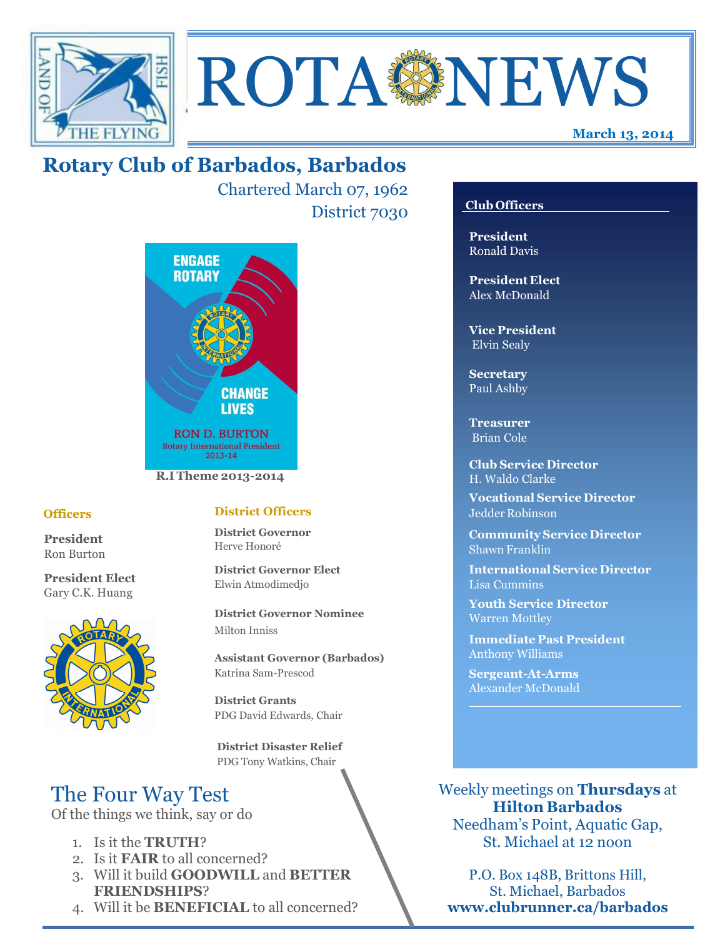



Chartered March 07, 1962 District 7030



## **Officers**

**President** Ron Burton

**President Elect** Gary C.K. Huang



## **District Officers**

**District Governor** Herve Honoré

**District Governor Elect** Elwin Atmodimedjo

**District Governor Nominee**  Milton Inniss

**Assistant Governor (Barbados)** Katrina Sam-Prescod

**District Grants**  PDG David Edwards, Chair

 **District Disaster Relief** PDG Tony Watkins, Chair

# The Four Way Test

Of the things we think, say or do

- 1. Is it the **TRUTH**?
- 2. Is it **FAIR** to all concerned?
- 3. Will it build **GOODWILL** and **BETTER FRIENDSHIPS**?
- 4. Will it be **BENEFICIAL** to all concerned?

# **Club Officers**

**March 13, 2014**

**President** Ronald Davis

**President Elect** Alex McDonald

**Vice President** Elvin Sealy

**Secretary** Paul Ashby

**Treasurer** Brian Cole

**Club Service Director** H. Waldo Clarke

**Vocational Service Director** Jedder Robinson

**Community Service Director** Shawn Franklin

**International Service Director** Lisa Cummins

**Youth Service Director** Warren Mottley

**Immediate Past President** Anthony Williams

**Sergeant-At-Arms** Alexander McDonald

Weekly meetings on **Thursdays** at **Hilton Barbados** Needham's Point, Aquatic Gap,

St. Michael at 12 noon

P.O. Box 148B, Brittons Hill, St. Michael, Barbados **www.clubrunner.ca/barbados**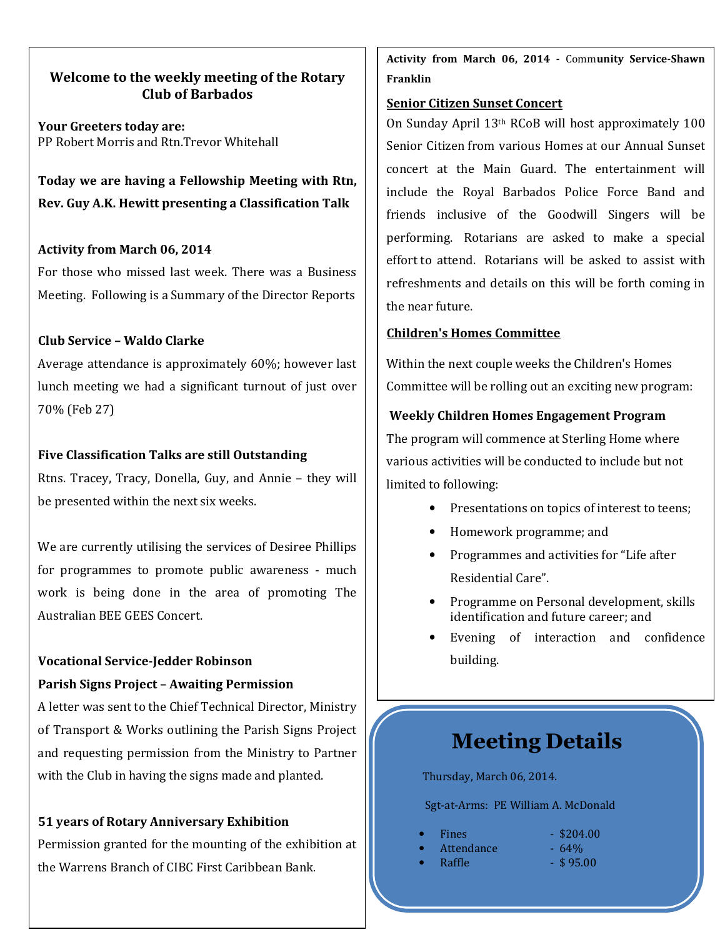# **Welcome to the weekly meeting of the Rotary Club of Barbados**

**Your Greeters today are:**  PP Robert Morris and Rtn.Trevor Whitehall

**Today we are having a Fellowship Meeting with Rtn, Rev. Guy A.K. Hewitt presenting a Classification Talk**

## **Activity from March 06, 2014**

For those who missed last week. There was a Business Meeting. Following is a Summary of the Director Reports

## **Club Service – Waldo Clarke**

Average attendance is approximately 60%; however last lunch meeting we had a significant turnout of just over 70% (Feb 27)

# **Five Classification Talks are still Outstanding**

Rtns. Tracey, Tracy, Donella, Guy, and Annie – they will be presented within the next six weeks.

We are currently utilising the services of Desiree Phillips for programmes to promote public awareness - much work is being done in the area of promoting The Australian BEE GEES Concert.

## **Vocational Service-Jedder Robinson**

## **Parish Signs Project – Awaiting Permission**

A letter was sent to the Chief Technical Director, Ministry of Transport & Works outlining the Parish Signs Project and requesting permission from the Ministry to Partner with the Club in having the signs made and planted.

## **51 years of Rotary Anniversary Exhibition**

Permission granted for the mounting of the exhibition at the Warrens Branch of CIBC First Caribbean Bank.

**Activity from March 06, 2014 -** Comm**unity Service-Shawn Franklin** 

## **Senior Citizen Sunset Concert**

On Sunday April 13th RCoB will host approximately 100 Senior Citizen from various Homes at our Annual Sunset concert at the Main Guard. The entertainment will include the Royal Barbados Police Force Band and friends inclusive of the Goodwill Singers will be performing. Rotarians are asked to make a special effort to attend. Rotarians will be asked to assist with refreshments and details on this will be forth coming in the near future.

## **Children's Homes Committee**

Within the next couple weeks the Children's Homes Committee will be rolling out an exciting new program:

# **Weekly Children Homes Engagement Program**

The program will commence at Sterling Home where various activities will be conducted to include but not limited to following:

- Presentations on topics of interest to teens;
- Homework programme; and
- Programmes and activities for "Life after Residential Care".
- Programme on Personal development, skills identification and future career; and
- Evening of interaction and confidence building.

# **Meeting Details**

Thursday, March 06, 2014.

Sgt-at-Arms: PE William A. McDonald

|  | <b>Fines</b> | $-$ \$204.00 |
|--|--------------|--------------|
|--|--------------|--------------|

- Attendance 64%
- $\text{Raffle}$   $\qquad \qquad \$95.00$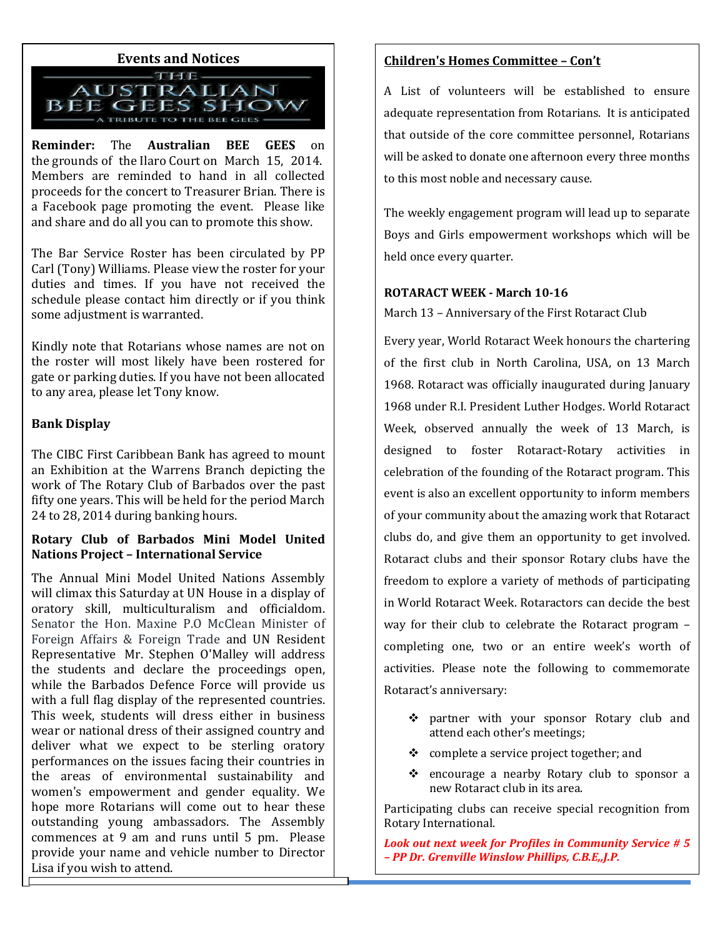

**Reminder:** The **Australian BEE GEES** on the grounds of the Ilaro Court on March 15, 2014. Members are reminded to hand in all collected proceeds for the concert to Treasurer Brian. There is a Facebook page promoting the event. Please like and share and do all you can to promote this show.

The Bar Service Roster has been circulated by PP Carl (Tony) Williams. Please view the roster for your duties and times. If you have not received the schedule please contact him directly or if you think some adjustment is warranted.

Kindly note that Rotarians whose names are not on the roster will most likely have been rostered for gate or parking duties. If you have not been allocated to any area, please let Tony know.

#### **Bank Display**

The CIBC First Caribbean Bank has agreed to mount an Exhibition at the Warrens Branch depicting the work of The Rotary Club of Barbados over the past fifty one years. This will be held for the period March 24 to 28, 2014 during banking hours.

# **Rotary Club of Barbados Mini Model United Nations Project – International Service**

The Annual Mini Model United Nations Assembly will climax this Saturday at UN House in a display of oratory skill, multiculturalism and officialdom. Senator the Hon. Maxine P.O McClean Minister of Foreign Affairs & Foreign Trade and UN Resident Representative Mr. Stephen O'Malley will address the students and declare the proceedings open, while the Barbados Defence Force will provide us with a full flag display of the represented countries. This week, students will dress either in business wear or national dress of their assigned country and deliver what we expect to be sterling oratory performances on the issues facing their countries in the areas of environmental sustainability and women's empowerment and gender equality. We hope more Rotarians will come out to hear these outstanding young ambassadors. The Assembly commences at 9 am and runs until 5 pm. Please provide your name and vehicle number to Director Lisa if you wish to attend.

# **Children's Homes Committee – Con't**

A List of volunteers will be established to ensure adequate representation from Rotarians. It is anticipated that outside of the core committee personnel, Rotarians will be asked to donate one afternoon every three months to this most noble and necessary cause.

The weekly engagement program will lead up to separate Boys and Girls empowerment workshops which will be held once every quarter.

#### **ROTARACT WEEK - March 10-16**

March 13 – Anniversary of the First Rotaract Club

Every year, World Rotaract Week honours the chartering of the first club in North Carolina, USA, on 13 March 1968. Rotaract was officially inaugurated during January 1968 under R.I. President Luther Hodges. World Rotaract Week, observed annually the week of 13 March, is designed to foster Rotaract-Rotary activities in celebration of the founding of the Rotaract program. This event is also an excellent opportunity to inform members of your community about the amazing work that Rotaract clubs do, and give them an opportunity to get involved. Rotaract clubs and their sponsor Rotary clubs have the freedom to explore a variety of methods of participating in World Rotaract Week. Rotaractors can decide the best way for their club to celebrate the Rotaract program – completing one, two or an entire week's worth of activities. Please note the following to commemorate Rotaract's anniversary:

- partner with your sponsor Rotary club and attend each other's meetings;
- $\bullet$  complete a service project together; and
- \* encourage a nearby Rotary club to sponsor a new Rotaract club in its area.

Participating clubs can receive special recognition from Rotary International.

 *– PP Dr. Grenville Winslow Phillips, C.B.E,,J.P. Look out next week for Profiles in Community Service # 5*